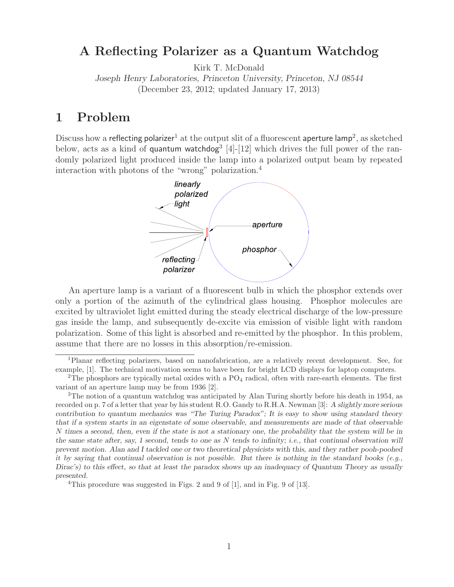## **A Reflecting Polarizer as a Quantum Watchdog**

Kirk T. McDonald

*Joseph Henry Laboratories, Princeton University, Princeton, NJ 08544* (December 23, 2012; updated January 17, 2013)

## **1 Problem**

Discuss how a reflecting polarizer<sup>1</sup> at the output slit of a fluorescent aperture lamp<sup>2</sup>, as sketched below, acts as a kind of quantum watchdog<sup>3</sup> [4]-[12] which drives the full power of the randomly polarized light produced inside the lamp into a polarized output beam by repeated interaction with photons of the "wrong" polarization.<sup>4</sup>



An aperture lamp is a variant of a fluorescent bulb in which the phosphor extends over only a portion of the azimuth of the cylindrical glass housing. Phosphor molecules are excited by ultraviolet light emitted during the steady electrical discharge of the low-pressure gas inside the lamp, and subsequently de-excite via emission of visible light with random polarization. Some of this light is absorbed and re-emitted by the phosphor. In this problem, assume that there are no losses in this absorption/re-emission.

<sup>1</sup>Planar reflecting polarizers, based on nanofabrication, are a relatively recent development. See, for example, [1]. The technical motivation seems to have been for bright LCD displays for laptop computers.

<sup>&</sup>lt;sup>2</sup>The phosphors are typically metal oxides with a  $PQ_4$  radical, often with rare-earth elements. The first variant of an aperture lamp may be from 1936 [2].

<sup>&</sup>lt;sup>3</sup>The notion of a quantum watchdog was anticipated by Alan Turing shortly before his death in 1954, as recorded on p. 7 of a letter that year by his student R.O. Gandy to R.H.A. Newman [3]: *A slightly more serious contribution to quantum mechanics was "The Turing Paradox"; It is easy to show using standard theory that if a system starts in an eigenstate of some observable, and measurements are made of that observable N times a second, then, even if the state is not a stationary one, the probability that the system will be in the same state after, say, 1 second, tends to one as <sup>N</sup> tends to infinity; i.e., that continual observation will prevent motion. Alan and I tackled one or two theoretical physicists with this, and they rather pooh-poohed it by saying that continual observation is not possible. But there is nothing in the standard books (e.g., Dirac's) to this effect, so that at least the paradox shows up an inadequacy of Quantum Theory as usually presented.*

<sup>&</sup>lt;sup>4</sup>This procedure was suggested in Figs. 2 and 9 of [1], and in Fig. 9 of [13].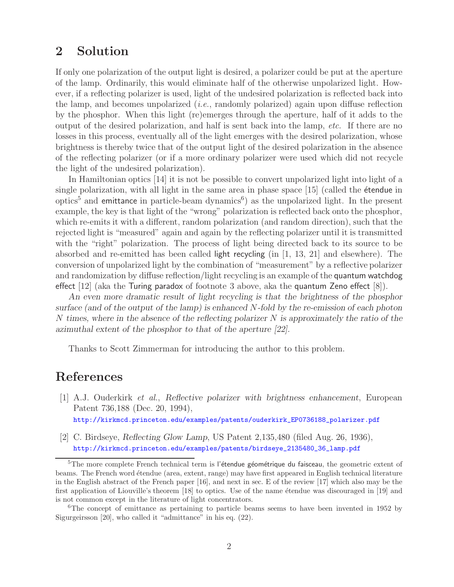## **2 Solution**

If only one polarization of the output light is desired, a polarizer could be put at the aperture of the lamp. Ordinarily, this would eliminate half of the otherwise unpolarized light. However, if a reflecting polarizer is used, light of the undesired polarization is reflected back into the lamp, and becomes unpolarized (*i.e.*, randomly polarized) again upon diffuse reflection by the phosphor. When this light (re)emerges through the aperture, half of it adds to the output of the desired polarization, and half is sent back into the lamp, *etc.* If there are no losses in this process, eventually all of the light emerges with the desired polarization, whose brightness is thereby twice that of the output light of the desired polarization in the absence of the reflecting polarizer (or if a more ordinary polarizer were used which did not recycle the light of the undesired polarization).

In Hamiltonian optics [14] it is not be possible to convert unpolarized light into light of a single polarization, with all light in the same area in phase space  $[15]$  (called the **étendue** in optics<sup>5</sup> and emittance in particle-beam dynamics<sup>6</sup>) as the unpolarized light. In the present example, the key is that light of the "wrong" polarization is reflected back onto the phosphor, which re-emits it with a different, random polarization (and random direction), such that the rejected light is "measured" again and again by the reflecting polarizer until it is transmitted with the "right" polarization. The process of light being directed back to its source to be absorbed and re-emitted has been called light recycling (in [1, 13, 21] and elsewhere). The conversion of unpolarized light by the combination of "measurement" by a reflective polarizer and randomization by diffuse reflection/light recycling is an example of the quantum watchdog effect [12] (aka the Turing paradox of footnote 3 above, aka the quantum Zeno effect [8]).

*An even more dramatic result of light recycling is that the brightness of the phosphor surface (and of the output of the lamp) is enhanced N-fold by the re-emission of each photon N times, where in the absence of the reflecting polarizer N is approximately the ratio of the azimuthal extent of the phosphor to that of the aperture [22].*

Thanks to Scott Zimmerman for introducing the author to this problem.

## **References**

- [1] A.J. Ouderkirk *et al.*, *Reflective polarizer with brightness enhancement*, European Patent 736,188 (Dec. 20, 1994), http://kirkmcd.princeton.edu/examples/patents/ouderkirk\_EP0736188\_polarizer.pdf
- 
- [2] C. Birdseye, *Reflecting Glow Lamp*, US Patent 2,135,480 (filed Aug. 26, 1936), http://kirkmcd.princeton.edu/examples/patents/birdseye\_2135480\_36\_lamp.pdf

 $5$ The more complete French technical term is l'étendue géométrique du faisceau, the geometric extent of beams. The French word étendue (area, extent, range) may have first appeared in English technical literature in the English abstract of the French paper [16], and next in sec. E of the review [17] which also may be the first application of Liouville's theorem [18] to optics. Use of the name étendue was discouraged in [19] and is not common except in the literature of light concentrators.

 $6$ The concept of emittance as pertaining to particle beams seems to have been invented in 1952 by Sigurgeirsson [20], who called it "admittance" in his eq. (22).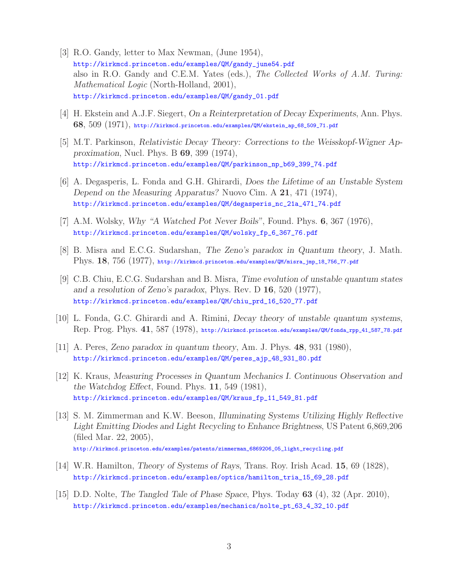- [3] R.O. Gandy, letter to Max Newman, (June 1954), http://kirkmcd.princeton.edu/examples/QM/gandy\_june54.pdf also in R.O. Gandy and C.E.M. Yates (eds.), *The Collected Works of A.M. Turing: Mathematical Logic* (North-Holland, 2001), http://kirkmcd.princeton.edu/examples/QM/gandy\_01.pdf
- [4] H. Ekstein and A.J.F. Siegert, *On a Reinterpretation of Decay Experiments*, Ann. Phys. **68**, 509 (1971), http://kirkmcd.princeton.edu/examples/QM/ekstein\_ap\_68\_509\_71.pdf
- [5] M.T. Parkinson, *Relativistic Decay Theory: Corrections to the Weisskopf-Wigner Approximation*, Nucl. Phys. B **69**, 399 (1974), http://kirkmcd.princeton.edu/examples/QM/parkinson\_np\_b69\_399\_74.pdf
- [6] A. Degasperis, L. Fonda and G.H. Ghirardi, *Does the Lifetime of an Unstable System Depend on the Measuring Apparatus?* Nuovo Cim. A **21**, 471 (1974), http://kirkmcd.princeton.edu/examples/QM/degasperis\_nc\_21a\_471\_74.pdf
- [7] A.M. Wolsky, *Why "A Watched Pot Never Boils"*, Found. Phys. **6**, 367 (1976), http://kirkmcd.princeton.edu/examples/QM/wolsky\_fp\_6\_367\_76.pdf
- [8] B. Misra and E.C.G. Sudarshan, *The Zeno's paradox in Quantum theory*, J. Math. Phys. **18**, 756 (1977), http://kirkmcd.princeton.edu/examples/QM/misra\_jmp\_18\_756\_77.pdf
- [9] C.B. Chiu, E.C.G. Sudarshan and B. Misra, *Time evolution of unstable quantum states and a resolution of Zeno's paradox*, Phys. Rev. D **16**, 520 (1977), http://kirkmcd.princeton.edu/examples/QM/chiu\_prd\_16\_520\_77.pdf
- [10] L. Fonda, G.C. Ghirardi and A. Rimini, *Decay theory of unstable quantum systems*, Rep. Prog. Phys. **41**, 587 (1978), http://kirkmcd.princeton.edu/examples/QM/fonda\_rpp\_41\_587\_78.pdf
- [11] A. Peres, *Zeno paradox in quantum theory*, Am. J. Phys. **48**, 931 (1980), http://kirkmcd.princeton.edu/examples/QM/peres\_ajp\_48\_931\_80.pdf
- [12] K. Kraus, *Measuring Processes in Quantum Mechanics I. Continuous Observation and the Watchdog Effect*, Found. Phys. **11**, 549 (1981), http://kirkmcd.princeton.edu/examples/QM/kraus\_fp\_11\_549\_81.pdf
- [13] S. M. Zimmerman and K.W. Beeson, *Illuminating Systems Utilizing Highly Reflective Light Emitting Diodes and Light Recycling to Enhance Brightness*, US Patent 6,869,206 (filed Mar. 22, 2005), http://kirkmcd.princeton.edu/examples/patents/zimmerman\_6869206\_05\_light\_recycling.pdf
- [14] W.R. Hamilton, *Theory of Systems of Rays*, Trans. Roy. Irish Acad. **15**, 69 (1828), http://kirkmcd.princeton.edu/examples/optics/hamilton\_tria\_15\_69\_28.pdf
- [15] D.D. Nolte, *The Tangled Tale of Phase Space*, Phys. Today **63** (4), 32 (Apr. 2010), http://kirkmcd.princeton.edu/examples/mechanics/nolte\_pt\_63\_4\_32\_10.pdf